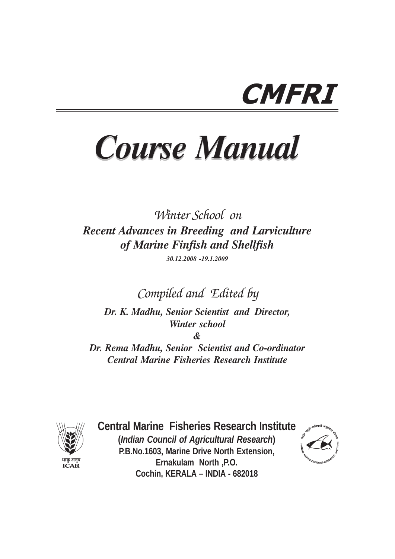# CMFRI

# *Course Manual Course Manual*

Winter School on *Recent Advances in Breeding and Larviculture of Marine Finfish and Shellfish*

*30.12.2008 -19.1.2009*

Compiled and Edited by

*Dr. K. Madhu, Senior Scientist and Director, Winter school*

*&*

*Dr. Rema Madhu, Senior Scientist and Co-ordinator Central Marine Fisheries Research Institute*



**Central Marine Fisheries Research Institute (***Indian Council of Agricultural Research***) P.B.No.1603, Marine Drive North Extension, Ernakulam North ,P.O. Cochin, KERALA – INDIA - 682018**

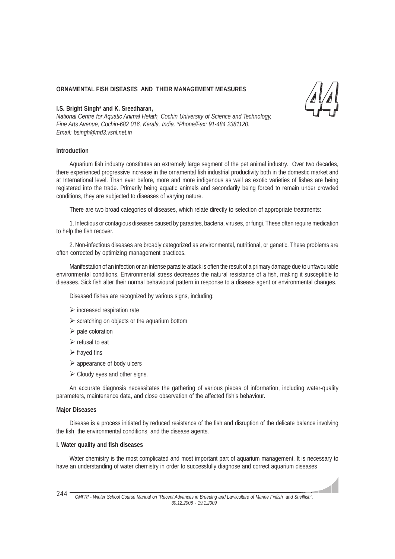# **ORNAMENTAL FISH DISEASES AND THEIR MANAGEMENT MEASURES**

# **I.S. Bright Singh\* and K. Sreedharan,**

*National Centre for Aquatic Animal Helath, Cochin University of Science and Technology, Fine Arts Avenue, Cochin-682 016, Kerala, India. \*Phone/Fax: 91-484 2381120. Email: bsingh@md3.vsnl.net.in*

### **Introduction**

Aquarium fish industry constitutes an extremely large segment of the pet animal industry. Over two decades, there experienced progressive increase in the ornamental fish industrial productivity both in the domestic market and at International level. Than ever before, more and more indigenous as well as exotic varieties of fishes are being registered into the trade. Primarily being aquatic animals and secondarily being forced to remain under crowded conditions, they are subjected to diseases of varying nature.

There are two broad categories of diseases, which relate directly to selection of appropriate treatments:

1. Infectious or contagious diseases caused by parasites, bacteria, viruses, or fungi. These often require medication to help the fish recover.

2. Non-infectious diseases are broadly categorized as environmental, nutritional, or genetic. These problems are often corrected by optimizing management practices.

Manifestation of an infection or an intense parasite attack is often the result of a primary damage due to unfavourable environmental conditions. Environmental stress decreases the natural resistance of a fish, making it susceptible to diseases. Sick fish alter their normal behavioural pattern in response to a disease agent or environmental changes.

Diseased fishes are recognized by various signs, including:

- increased respiration rate
- scratching on objects or the aquarium bottom
- $\triangleright$  pale coloration
- refusal to eat
- $\triangleright$  frayed fins
- > appearance of body ulcers
- > Cloudy eyes and other signs.

An accurate diagnosis necessitates the gathering of various pieces of information, including water-quality parameters, maintenance data, and close observation of the affected fish's behaviour.

#### **Major Diseases**

Disease is a process initiated by reduced resistance of the fish and disruption of the delicate balance involving the fish, the environmental conditions, and the disease agents.

#### **I. Water quality and fish diseases**

Water chemistry is the most complicated and most important part of aquarium management. It is necessary to have an understanding of water chemistry in order to successfully diagnose and correct aquarium diseases

*CMFRI - Winter School Course Manual on "Recent Advances in Breeding and Larviculture of Marine Finfish and Shellfish". 30.12.2008 - 19.1.2009* 244 -

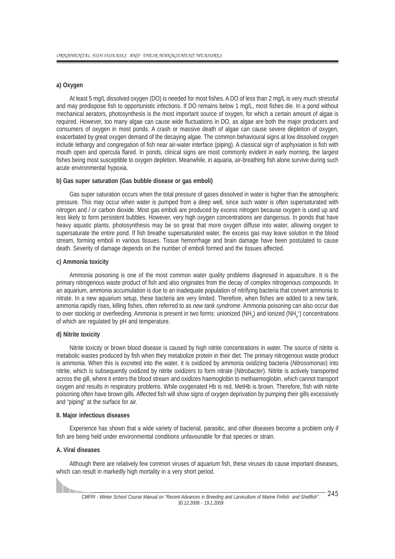# **a) Oxygen**

At least 5 mg/L dissolved oxygen (DO) is needed for most fishes. A DO of less than 2 mg/L is very much stressful and may predispose fish to opportunistic infections. If DO remains below 1 mg/L, most fishes die. In a pond without mechanical aerators, photosynthesis is the most important source of oxygen, for which a certain amount of algae is required. However, too many algae can cause wide fluctuations in DO, as algae are both the major producers and consumers of oxygen in most ponds. A crash or massive death of algae can cause severe depletion of oxygen, exacerbated by great oxygen demand of the decaying algae. The common behavioural signs at low dissolved oxygen include lethargy and congregation of fish near air-water interface (piping). A classical sign of asphyxiation is fish with mouth open and opercula flared. In ponds, clinical signs are most commonly evident in early morning, the largest fishes being most susceptible to oxygen depletion. Meanwhile, in aquaria, air-breathing fish alone survive during such acute environmental hypoxia.

#### **b) Gas super saturation (Gas bubble disease or gas emboli)**

Gas super saturation occurs when the total pressure of gases dissolved in water is higher than the atmospheric pressure. This may occur when water is pumped from a deep well, since such water is often supersaturated with nitrogen and / or carbon dioxide. Most gas emboli are produced by excess nitrogen because oxygen is used up and less likely to form persistent bubbles. However, very high oxygen concentrations are dangerous. In ponds that have heavy aquatic plants, photosynthesis may be so great that more oxygen diffuse into water, allowing oxygen to supersaturate the entire pond. If fish breathe supersaturated water, the excess gas may leave solution in the blood stream, forming emboli in various tissues. Tissue hemorrhage and brain damage have been postulated to cause death. Severity of damage depends on the number of emboli formed and the tissues affected.

#### **c) Ammonia toxicity**

Ammonia poisoning is one of the most common water quality problems diagnosed in aquaculture. It is the primary nitrogenous waste product of fish and also originates from the decay of complex nitrogenous compounds. In an aquarium, ammonia accumulation is due to an inadequate population of nitrifying bacteria that convert ammonia to nitrate. In a new aquarium setup, these bacteria are very limited. Therefore, when fishes are added to a new tank, ammonia rapidly rises, killing fishes, often referred to as *new tank syndrome*. Ammonia poisoning can also occur due to over stocking or overfeeding. Ammonia is present in two forms: unionized (NH<sub>3</sub>) and ionized (NH<sub>4</sub>+) concentrations of which are regulated by pH and temperature.

#### **d) Nitrite toxicity**

Nitrite toxicity or brown blood disease is caused by high nitrite concentrations in water. The source of nitrite is metabolic wastes produced by fish when they metabolize protein in their diet. The primary nitrogenous waste product is ammonia. When this is excreted into the water, it is oxidized by ammonia oxidizing bacteria (*Nitrosomonas*) into nitrite, which is subsequently oxidized by nitrite oxidizers to form nitrate (*Nitrobacter*). Nitrite is actively transported across the gill, where it enters the blood stream and oxidizes haemoglobin to methaemoglobin, which cannot transport oxygen and results in respiratory problems. While oxygenated Hb is red, MetHb is brown. Therefore, fish with nitrite poisoning often have brown gills. Affected fish will show signs of oxygen deprivation by pumping their gills excessively and "piping" at the surface for air.

#### **II. Major infectious diseases**

Experience has shown that a wide variety of bacterial, parasitic, and other diseases become a problem only if fish are being held under environmental conditions unfavourable for that species or strain.

#### **A. Viral diseases**

Although there are relatively few common viruses of aquarium fish, these viruses do cause important diseases, which can result in markedly high mortality in a very short period.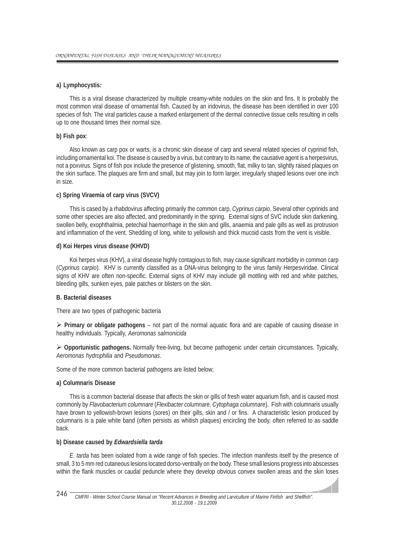# **a) Lymphocystis***:*

This is a viral disease characterized by multiple creamy-white nodules on the skin and fins. It is probably the most common viral disease of ornamental fish. Caused by an iridovirus, the disease has been identified in over 100 species of fish. The viral particles cause a marked enlargement of the dermal connective tissue cells resulting in cells up to one thousand times their normal size.

#### **b) Fish pox**:

Also known as carp pox or warts, is a chronic skin disease of carp and several related species of cyprinid fish, including ornamental koi. The disease is caused by a virus, but contrary to its name, the causative agent is a herpesvirus, not a poxvirus. Signs of fish pox include the presence of glistening, smooth, flat, milky to tan, slightly raised plaques on the skin surface. The plaques are firm and small, but may join to form larger, irregularly shaped lesions over one inch in size.

#### **c) Spring Viraemia of carp virus (SVCV)**

This is cased by a rhabdovirus affecting primarily the common carp, *Cyprinus carpio*. Several other cyprinids and some other species are also affected, and predominantly in the spring. External signs of SVC include skin darkening, swollen belly, exophthalmia, petechial haemorrhage in the skin and gills, anaemia and pale gills as well as protrusion and inflammation of the vent. Shedding of long, white to yellowish and thick mucoid casts from the vent is visible.

#### **d) Koi Herpes virus disease (KHVD)**

Koi herpes virus (KHV), a viral disease highly contagious to fish, may cause significant morbidity in common carp (*Cyprinus carpio*). KHV is currently classified as a DNA-virus belonging to the virus family Herpesviridae. Clinical signs of KHV are often non-specific. External signs of KHV may include gill mottling with red and white patches, bleeding gills, sunken eyes, pale patches or blisters on the skin.

#### **B. Bacterial diseases**

There are two types of pathogenic bacteria

- **Primary or obligate pathogens** – not part of the normal aquatic flora and are capable of causing disease in healthy individuals. Typically, *Aeromonas salmonicida*

- **Opportunistic pathogens.** Normally free-living, but become pathogenic under certain circumstances. Typically, *Aeromonas hydrophilia* and *Pseudomonas*.

Some of the more common bacterial pathogens are listed below;

#### **a) Columnaris Disease**

This is a common bacterial disease that affects the skin or gills of fresh water aquarium fish, and is caused most commonly by *Flavobacterium columnare* (*Flexibacter columnare, Cytophaga columnare*). Fish with columnaris usually have brown to yellowish-brown lesions (sores) on their gills, skin and / or fins. A characteristic lesion produced by columnaris is a pale white band (often persists as whitish plaques) encircling the body, often referred to as saddle back.

#### **b) Disease caused by** *Edwardsiella tarda*

*E. tarda* has been isolated from a wide range of fish species. The infection manifests itself by the presence of small, 3 to 5 mm red cutaneous lesions located dorso-ventrally on the body. These small lesions progress into abscesses within the flank muscles or caudal peduncle where they develop obvious convex swollen areas and the skin loses

and all

*CMFRI - Winter School Course Manual on "Recent Advances in Breeding and Larviculture of Marine Finfish and Shellfish". 30.12.2008 - 19.1.2009* 246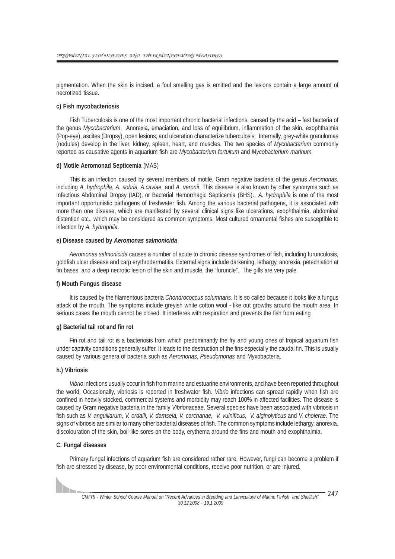pigmentation. When the skin is incised, a foul smelling gas is emitted and the lesions contain a large amount of necrotized tissue.

#### **c) Fish mycobacteriosis**

Fish Tuberculosis is one of the most important chronic bacterial infections, caused by the acid – fast bacteria of the genus *Mycobacterium*. Anorexia, emaciation, and loss of equilibrium, inflammation of the skin, exophthalmia (Pop-eye), ascites (Dropsy), open lesions, and ulceration characterize tuberculosis. Internally, grey-white granulomas (nodules) develop in the liver, kidney, spleen, heart, and muscles. The two species of *Mycobacterium* commonly reported as causative agents in aquarium fish are *Mycobacterium fortuitum* and *Mycobacterium marinum*

#### **d) Motile Aeromonad Septicemia** (MAS)

This is an infection caused by several members of motile, Gram negative bacteria of the genus *Aeromonas*, including *A. hydrophila*, *A. sobria, A.caviae,* and *A. veronii*. This disease is also known by other synonyms such as Infectious Abdominal Dropsy (IAD), or Bacterial Hemorrhagic Septicemia (BHS). *A. hydrophila* is one of the most important opportunistic pathogens of freshwater fish. Among the various bacterial pathogens, it is associated with more than one disease, which are manifested by several clinical signs like ulcerations, exophthalmia, abdominal distention etc., which may be considered as common symptoms. Most cultured ornamental fishes are susceptible to infection by *A. hydrophila*.

#### **e) Disease caused by** *Aeromonas salmonicida*

*Aeromonas salmonicida* causes a number of acute to chronic disease syndromes of fish, including furunculosis, goldfish ulcer disease and carp erythrodermatitis. External signs include darkening, lethargy, anorexia, petechiation at fin bases, and a deep necrotic lesion of the skin and muscle, the "furuncle". The gills are very pale.

#### **f) Mouth Fungus disease**

It is caused by the filamentous bacteria *Chondrococcus columnaris*. It is so called because it looks like a fungus attack of the mouth. The symptoms include greyish white cotton wool - like out growths around the mouth area. In serious cases the mouth cannot be closed. It interferes with respiration and prevents the fish from eating

#### **g) Bacterial tail rot and fin rot**

Fin rot and tail rot is a bacteriosis from which predominantly the fry and young ones of tropical aquarium fish under captivity conditions generally suffer. It leads to the destruction of the fins especially the caudal fin. This is usually caused by various genera of bacteria such as *Aeromonas*, *Pseudomonas* and Myxobacteria.

# **h.) Vibriosis**

*Vibrio* infections usually occur in fish from marine and estuarine environments, and have been reported throughout the world. Occasionally, vibriosis is reported in freshwater fish. *Vibrio* infections can spread rapidly when fish are confined in heavily stocked, commercial systems and morbidity may reach 100% in affected facilities. The disease is caused by Gram negative bacteria in the family *Vibrionaceae*. Several species have been associated with vibriosis in fish such as *V. anguillarum, V. ordalli, V. damsela, V. carchariae, V. vulnificus, V. alginolyticus* and *V. cholerae*. The signs of vibriosis are similar to many other bacterial diseases of fish. The common symptoms include lethargy, anorexia, discolouration of the skin, boil-like sores on the body, erythema around the fins and mouth and exophthalmia.

#### **C. Fungal diseases**

Primary fungal infections of aquarium fish are considered rather rare. However, fungi can become a problem if fish are stressed by disease, by poor environmental conditions, receive poor nutrition, or are injured.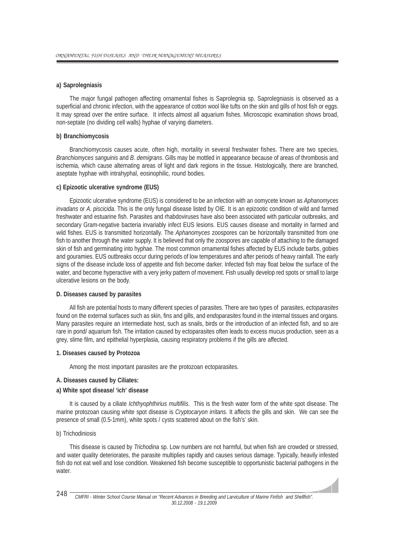### **a) Saprolegniasis**

The major fungal pathogen affecting ornamental fishes is Saprolegnia sp. Saprolegniasis is observed as a superficial and chronic infection, with the appearance of cotton wool like tufts on the skin and gills of host fish or eggs. It may spread over the entire surface. It infects almost all aquarium fishes. Microscopic examination shows broad, non-septate (no dividing cell walls) hyphae of varying diameters.

#### **b) Branchiomycosis**

Branchiomycosis causes acute, often high, mortality in several freshwater fishes. There are two species, *Branchiomyces sanguinis* and *B*. *demigrans*. Gills may be mottled in appearance because of areas of thrombosis and ischemia, which cause alternating areas of light and dark regions in the tissue. Histologically, there are branched, aseptate hyphae with intrahyphal, eosinophilic, round bodies.

#### **c) Epizootic ulcerative syndrome (EUS)**

Epizootic ulcerative syndrome (EUS) is considered to be an infection with an oomycete known as *Aphanomyces invadans* or *A*. *piscicida*. This is the only fungal disease listed by OIE. It is an epizootic condition of wild and farmed freshwater and estuarine fish. Parasites and rhabdoviruses have also been associated with particular outbreaks, and secondary Gram-negative bacteria invariably infect EUS lesions. EUS causes disease and mortality in farmed and wild fishes. EUS is transmitted horizontally. The *Aphanomyces* zoospores can be horizontally transmitted from one fish to another through the water supply. It is believed that only the zoospores are capable of attaching to the damaged skin of fish and germinating into hyphae. The most common ornamental fishes affected by EUS include barbs, gobies and gouramies. EUS outbreaks occur during periods of low temperatures and after periods of heavy rainfall. The early signs of the disease include loss of appetite and fish become darker. Infected fish may float below the surface of the water, and become hyperactive with a very jerky pattern of movement. Fish usually develop red spots or small to large ulcerative lesions on the body.

# **D. Diseases caused by parasites**

All fish are potential hosts to many different species of parasites. There are two types of parasites, *ectoparasites* found on the external surfaces such as skin, fins and gills, and *endoparasites* found in the internal tissues and organs. Many parasites require an intermediate host, such as snails, birds or the introduction of an infected fish, and so are rare in pond/ aquarium fish. The irritation caused by ectoparasites often leads to excess mucus production, seen as a grey, slime film, and epithelial hyperplasia, causing respiratory problems if the gills are affected.

#### **1. Diseases caused by Protozoa**

Among the most important parasites are the protozoan ectoparasites.

#### **A. Diseases caused by Ciliates:**

#### **a) White spot disease/ 'ich' disease**

It is caused by a ciliate *Ichthyophthirius multifilis*. This is the fresh water form of the white spot disease. The marine protozoan causing white spot disease is *Cryptocaryon irritans.* It affects the gills and skin. We can see the presence of small (0.5-1mm), white spots / cysts scattered about on the fish's' skin.

#### b) Trichodiniosis

This disease is caused by *Trichodina* sp. Low numbers are not harmful, but when fish are crowded or stressed, and water quality deteriorates, the parasite multiplies rapidly and causes serious damage. Typically, heavily infested fish do not eat well and lose condition. Weakened fish become susceptible to opportunistic bacterial pathogens in the water.

 $\overline{\phantom{a}}$ 

*CMFRI - Winter School Course Manual on "Recent Advances in Breeding and Larviculture of Marine Finfish and Shellfish". 30.12.2008 - 19.1.2009* 248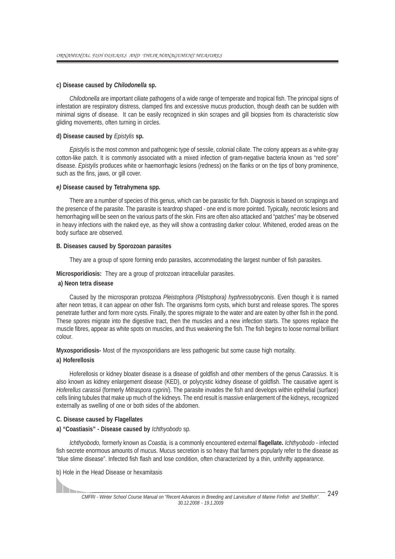#### **c) Disease caused by** *Chilodonella* **sp.**

*Chilodonella* are important ciliate pathogens of a wide range of temperate and tropical fish. The principal signs of infestation are respiratory distress, clamped fins and excessive mucus production, though death can be sudden with minimal signs of disease. It can be easily recognized in skin scrapes and gill biopsies from its characteristic slow gliding movements, often turning in circles.

#### **d) Disease caused by** *Epistylis* **sp.**

*Epistylis* is the most common and pathogenic type of sessile, colonial ciliate. The colony appears as a white-gray cotton-like patch. It is commonly associated with a mixed infection of gram-negative bacteria known as "red sore" disease. *Epistylis* produces white or haemorrhagic lesions (redness) on the flanks or on the tips of bony prominence, such as the fins, jaws, or gill cover.

#### *e)* **Disease caused by Tetrahymena spp***.*

There are a number of species of this genus, which can be parasitic for fish. Diagnosis is based on scrapings and the presence of the parasite. The parasite is teardrop shaped - one end is more pointed. Typically, necrotic lesions and hemorrhaging will be seen on the various parts of the skin. Fins are often also attacked and "patches" may be observed in heavy infections with the naked eye, as they will show a contrasting darker colour. Whitened, eroded areas on the body surface are observed.

#### **B. Diseases caused by Sporozoan parasites**

They are a group of spore forming endo parasites, accommodating the largest number of fish parasites.

**Microsporidiosis:** They are a group of protozoan intracellular parasites.

# **a) Neon tetra disease**

Caused by the microsporan protozoa *Pleistophora (Plistophora) hyphressobryconis*. Even though it is named after neon tetras, it can appear on other fish. The organisms form cysts, which burst and release spores. The spores penetrate further and form more cysts. Finally, the spores migrate to the water and are eaten by other fish in the pond. These spores migrate into the digestive tract, then the muscles and a new infection starts. The spores replace the muscle fibres, appear as white spots on muscles, and thus weakening the fish. The fish begins to loose normal brilliant colour.

**Myxosporidiosis-** Most of the myxosporidians are less pathogenic but some cause high mortality.

#### **a) Hoferellosis**

Hoferellosis or kidney bloater disease is a disease of goldfish and other members of the genus *Carassius*. It is also known as kidney enlargement disease (KED), or polycystic kidney disease of goldfish. The causative agent is *Hoferellus carassii* (formerly *Mitraspora cyprini*). The parasite invades the fish and develops within epithelial (surface) cells lining tubules that make up much of the kidneys. The end result is massive enlargement of the kidneys, recognized externally as swelling of one or both sides of the abdomen.

#### **C. Disease caused by Flagellates**

# **a) "Coastiasis" - Disease caused by** *Ichthyobodo* sp.

*Ichthyobodo,* formerly known as *Coastia,* is a commonly encountered external **flagellate.** *Ichthyobodo -* infected fish secrete enormous amounts of mucus. Mucus secretion is so heavy that farmers popularly refer to the disease as "blue slime disease". Infected fish flash and lose condition, often characterized by a thin, unthrifty appearance.

b) Hole in the Head Disease or hexamitasis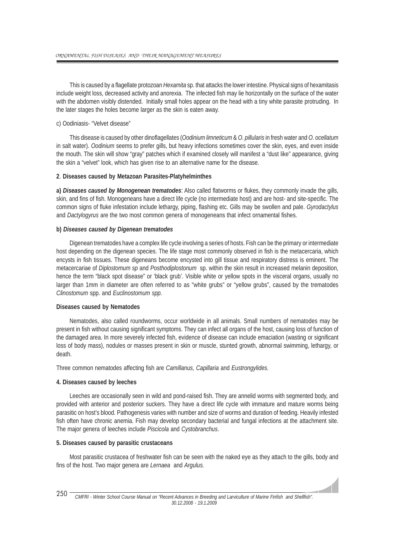This is caused by a flagellate protozoan *Hexamita* sp. that attacks the lower intestine. Physical signs of hexamitasis include weight loss, decreased activity and anorexia. The infected fish may lie horizontally on the surface of the water with the abdomen visibly distended. Initially small holes appear on the head with a tiny white parasite protruding. In the later stages the holes become larger as the skin is eaten away.

#### c) Oodiniasis- "Velvet disease"

This disease is caused by other dinoflagellates (*Oodinium limneticum* & *O. pillularis* in fresh water and *O. ocellatum* in salt water). *Oodinium* seems to prefer gills, but heavy infections sometimes cover the skin, eyes, and even inside the mouth. The skin will show "gray" patches which if examined closely will manifest a "dust like" appearance, giving the skin a "velvet" look, which has given rise to an alternative name for the disease.

#### **2**. **Diseases caused by Metazoan Parasites-Platyhelminthes**

**a)** *Diseases caused by Monogenean trematodes*: Also called flatworms or flukes, they commonly invade the gills, skin, and fins of fish. Monogeneans have a direct life cycle (no intermediate host) and are host- and site-specific. The common signs of fluke infestation include lethargy, piping, flashing etc. Gills may be swollen and pale. *Gyrodactylus* and *Dactylogyrus* are the two most common genera of monogeneans that infect ornamental fishes.

#### **b)** *Diseases caused by Digenean trematodes*

Digenean trematodes have a complex life cycle involving a series of hosts. Fish can be the primary or intermediate host depending on the digenean species. The life stage most commonly observed in fish is the metacercaria, which encysts in fish tissues. These digeneans become encysted into gill tissue and respiratory distress is eminent. The metacercariae of *Diplostomum sp* and *Posthodiplostonum* sp. within the skin result in increased melanin deposition, hence the term "black spot disease" or 'black grub'. Visible white or yellow spots in the visceral organs, usually no larger than 1mm in diameter are often referred to as "white grubs" or "yellow grubs", caused by the trematodes *Clinostomum* spp. and *Euclinostomum spp.*

# **Diseases caused by Nematodes**

Nematodes, also called roundworms, occur worldwide in all animals. Small numbers of nematodes may be present in fish without causing significant symptoms. They can infect all organs of the host, causing loss of function of the damaged area. In more severely infected fish, evidence of disease can include emaciation (wasting or significant loss of body mass), nodules or masses present in skin or muscle, stunted growth, abnormal swimming, lethargy, or death.

Three common nematodes affecting fish are *Camillanus, Capillaria* and *Eustrongylides.*

#### **4. Diseases caused by leeches**

Leeches are occasionally seen in wild and pond-raised fish. They are annelid worms with segmented body, and provided with anterior and posterior suckers. They have a direct life cycle with immature and mature worms being parasitic on host's blood. Pathogenesis varies with number and size of worms and duration of feeding. Heavily infested fish often have chronic anemia. Fish may develop secondary bacterial and fungal infections at the attachment site. The major genera of leeches include *Piscicola* and *Cystobranchus*.

#### **5. Diseases caused by parasitic crustaceans**

Most parasitic crustacea of freshwater fish can be seen with the naked eye as they attach to the gills, body and fins of the host. Two major genera are *Lernaea* and *Argulus.*

 $\overline{\phantom{a}}$ 

*CMFRI - Winter School Course Manual on "Recent Advances in Breeding and Larviculture of Marine Finfish and Shellfish". 30.12.2008 - 19.1.2009* 250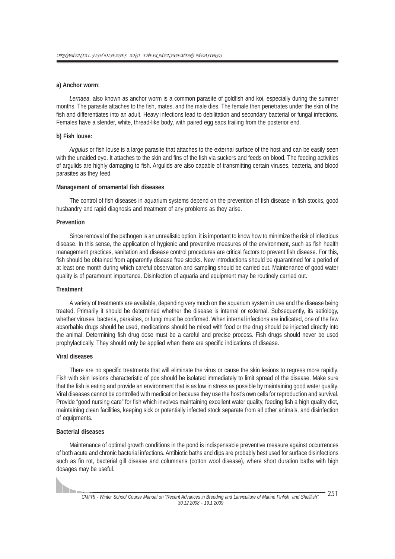#### **a) Anchor worm**:

*Lernaea,* also known as anchor worm is a common parasite of goldfish and koi, especially during the summer months. The parasite attaches to the fish, mates, and the male dies. The female then penetrates under the skin of the fish and differentiates into an adult. Heavy infections lead to debilitation and secondary bacterial or fungal infections. Females have a slender, white, thread-like body, with paired egg sacs trailing from the posterior end.

#### **b) Fish louse:**

*Argulus* or fish louse is a large parasite that attaches to the external surface of the host and can be easily seen with the unaided eye. It attaches to the skin and fins of the fish via suckers and feeds on blood. The feeding activities of argulids are highly damaging to fish. Argulids are also capable of transmitting certain viruses, bacteria, and blood parasites as they feed.

#### **Management of ornamental fish diseases**

The control of fish diseases in aquarium systems depend on the prevention of fish disease in fish stocks, good husbandry and rapid diagnosis and treatment of any problems as they arise.

#### **Prevention**

Since removal of the pathogen is an unrealistic option, it is important to know how to minimize the risk of infectious disease. In this sense, the application of hygienic and preventive measures of the environment, such as fish health management practices, sanitation and disease control procedures are critical factors to prevent fish disease. For this, fish should be obtained from apparently disease free stocks. New introductions should be quarantined for a period of at least one month during which careful observation and sampling should be carried out. Maintenance of good water quality is of paramount importance. Disinfection of aquaria and equipment may be routinely carried out.

#### **Treatment**

A variety of treatments are available, depending very much on the aquarium system in use and the disease being treated. Primarily it should be determined whether the disease is internal or external. Subsequently, its aetiology, whether viruses, bacteria, parasites, or fungi must be confirmed. When internal infections are indicated, one of the few absorbable drugs should be used, medications should be mixed with food or the drug should be injected directly into the animal. Determining fish drug dose must be a careful and precise process. Fish drugs should never be used prophylactically. They should only be applied when there are specific indications of disease.

#### **Viral diseases**

There are no specific treatments that will eliminate the virus or cause the skin lesions to regress more rapidly. Fish with skin lesions characteristic of pox should be isolated immediately to limit spread of the disease. Make sure that the fish is eating and provide an environment that is as low in stress as possible by maintaining good water quality. Viral diseases cannot be controlled with medication because they use the host's own cells for reproduction and survival. Provide "good nursing care" for fish which involves maintaining excellent water quality, feeding fish a high quality diet, maintaining clean facilities, keeping sick or potentially infected stock separate from all other animals, and disinfection of equipments.

#### **Bacterial diseases**

Maintenance of optimal growth conditions in the pond is indispensable preventive measure against occurrences of both acute and chronic bacterial infections. Antibiotic baths and dips are probably best used for surface disinfections such as fin rot, bacterial gill disease and columnaris (cotton wool disease), where short duration baths with high dosages may be useful.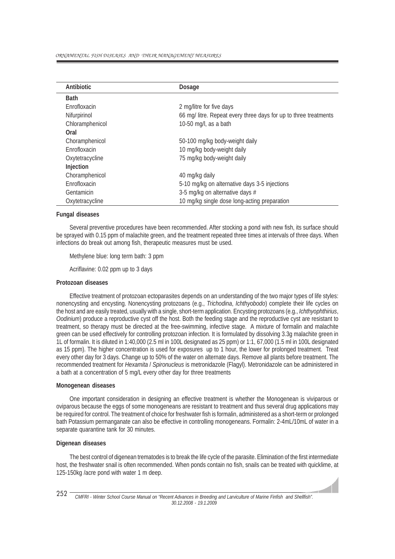| <b>Antibiotic</b>    | <b>Dosage</b>                                                    |
|----------------------|------------------------------------------------------------------|
| <b>Bath</b>          |                                                                  |
| <b>F</b> nrofloxacin | 2 mg/litre for five days                                         |
| Nifurpirinol         | 66 mg/ litre. Repeat every three days for up to three treatments |
| Chloramphenicol      | 10-50 mg/l, as a bath                                            |
| Oral                 |                                                                  |
| Choramphenicol       | 50-100 mg/kg body-weight daily                                   |
| Enrofloxacin         | 10 mg/kg body-weight daily                                       |
| Oxytetracycline      | 75 mg/kg body-weight daily                                       |
| Injection            |                                                                  |
| Choramphenicol       | 40 mg/kg daily                                                   |
| Enrofloxacin         | 5-10 mg/kg on alternative days 3-5 injections                    |
| Gentamicin           | 3-5 mg/kg on alternative days #                                  |
| Oxytetracycline      | 10 mg/kg single dose long-acting preparation                     |

## **Fungal diseases**

Several preventive procedures have been recommended. After stocking a pond with new fish, its surface should be sprayed with 0.15 ppm of malachite green, and the treatment repeated three times at intervals of three days. When infections do break out among fish, therapeutic measures must be used.

Methylene blue: long term bath: 3 ppm

Acriflavine: 0.02 ppm up to 3 days

#### **Protozoan diseases**

Effective treatment of protozoan ectoparasites depends on an understanding of the two major types of life styles: nonencysting and encysting. Nonencysting protozoans (e.g., *Trichodina*, *Ichthyobodo*) complete their life cycles on the host and are easily treated, usually with a single, short-term application. Encysting protozoans (e.g., *Ichthyophthirius*, *Oodinium*) produce a reproductive cyst off the host. Both the feeding stage and the reproductive cyst are resistant to treatment, so therapy must be directed at the free-swimming, infective stage. A mixture of formalin and malachite green can be used effectively for controlling protozoan infection. It is formulated by dissolving 3.3g malachite green in 1L of formalin. It is diluted in 1:40,000 (2.5 ml in 100L designated as 25 ppm) or 1:1, 67,000 (1.5 ml in 100L designated as 15 ppm). The higher concentration is used for exposures up to 1 hour, the lower for prolonged treatment. Treat every other day for 3 days. Change up to 50% of the water on alternate days. Remove all plants before treatment. The recommended treatment for *Hexamita* / *Spironucleus* is metronidazole (Flagyl). Metronidazole can be administered in a bath at a concentration of 5 mg/L every other day for three treatments

#### **Monogenean diseases**

One important consideration in designing an effective treatment is whether the Monogenean is viviparous or oviparous because the eggs of some monogeneans are resistant to treatment and thus several drug applications may be required for control. The treatment of choice for freshwater fish is formalin, administered as a short-term or prolonged bath Potassium permanganate can also be effective in controlling monogeneans. Formalin: 2-4mL/10mL of water in a separate quarantine tank for 30 minutes.

#### **Digenean diseases**

The best control of digenean trematodes is to break the life cycle of the parasite. Elimination of the first intermediate host, the freshwater snail is often recommended. When ponds contain no fish, snails can be treated with quicklime, at 125-150kg /acre pond with water 1 m deep.

 $\overline{\phantom{a}}$ 

*CMFRI - Winter School Course Manual on "Recent Advances in Breeding and Larviculture of Marine Finfish and Shellfish". 30.12.2008 - 19.1.2009* 252